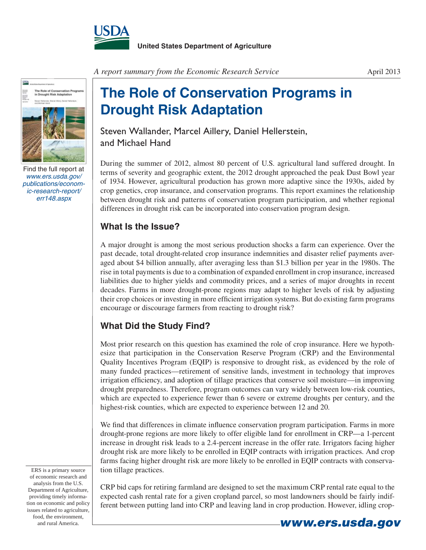



Find the full report at *www.ers.usda.gov/ publications/economic-research-report/ err148.aspx*

*A report summary from the Economic Research Service*

## **The Role of Conservation Programs in Drought Risk Adaptation**

Steven Wallander, Marcel Aillery, Daniel Hellerstein, and Michael Hand

During the summer of 2012, almost 80 percent of U.S. agricultural land suffered drought. In terms of severity and geographic extent, the 2012 drought approached the peak Dust Bowl year of 1934. However, agricultural production has grown more adaptive since the 1930s, aided by crop genetics, crop insurance, and conservation programs. This report examines the relationship between drought risk and patterns of conservation program participation, and whether regional differences in drought risk can be incorporated into conservation program design.

## **What Is the Issue?**

A major drought is among the most serious production shocks a farm can experience. Over the past decade, total drought-related crop insurance indemnities and disaster relief payments averaged about \$4 billion annually, after averaging less than \$1.3 billion per year in the 1980s. The rise in total payments is due to a combination of expanded enrollment in crop insurance, increased liabilities due to higher yields and commodity prices, and a series of major droughts in recent decades. Farms in more drought-prone regions may adapt to higher levels of risk by adjusting their crop choices or investing in more efficient irrigation systems. But do existing farm programs encourage or discourage farmers from reacting to drought risk?

## **What Did the Study Find?**

Most prior research on this question has examined the role of crop insurance. Here we hypothesize that participation in the Conservation Reserve Program (CRP) and the Environmental Quality Incentives Program (EQIP) is responsive to drought risk, as evidenced by the role of many funded practices—retirement of sensitive lands, investment in technology that improves irrigation efficiency, and adoption of tillage practices that conserve soil moisture—in improving drought preparedness. Therefore, program outcomes can vary widely between low-risk counties, which are expected to experience fewer than 6 severe or extreme droughts per century, and the highest-risk counties, which are expected to experience between 12 and 20.

We find that differences in climate influence conservation program participation. Farms in more drought-prone regions are more likely to offer eligible land for enrollment in CRP—a 1-percent increase in drought risk leads to a 2.4-percent increase in the offer rate. Irrigators facing higher drought risk are more likely to be enrolled in EQIP contracts with irrigation practices. And crop farms facing higher drought risk are more likely to be enrolled in EQIP contracts with conservation tillage practices.

ERS is a primary source of economic research and analysis from the U.S. Department of Agriculture, providing timely information on economic and policy issues related to agriculture, food, the environment,

CRP bid caps for retiring farmland are designed to set the maximum CRP rental rate equal to the expected cash rental rate for a given cropland parcel, so most landowners should be fairly indifferent between putting land into CRP and leaving land in crop production. However, idling crop-